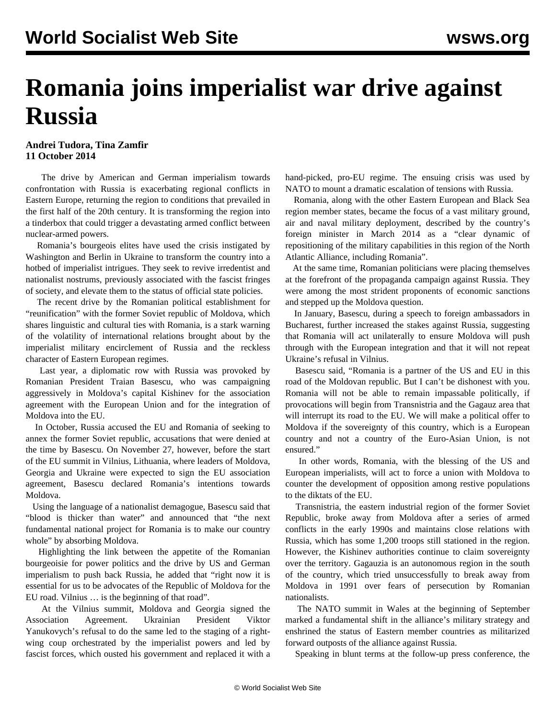## **Romania joins imperialist war drive against Russia**

## **Andrei Tudora, Tina Zamfir 11 October 2014**

 The drive by American and German imperialism towards confrontation with Russia is exacerbating regional conflicts in Eastern Europe, returning the region to conditions that prevailed in the first half of the 20th century. It is transforming the region into a tinderbox that could trigger a devastating armed conflict between nuclear-armed powers.

 Romania's bourgeois elites have used the crisis instigated by Washington and Berlin in Ukraine to transform the country into a hotbed of imperialist intrigues. They seek to revive irredentist and nationalist nostrums, previously associated with the fascist fringes of society, and elevate them to the status of official state policies.

 The recent drive by the Romanian political establishment for "reunification" with the former Soviet republic of Moldova, which shares linguistic and cultural ties with Romania, is a stark warning of the volatility of international relations brought about by the imperialist military encirclement of Russia and the reckless character of Eastern European regimes.

 Last year, a diplomatic row with Russia was provoked by Romanian President Traian Basescu, who was campaigning aggressively in Moldova's capital Kishinev for the association agreement with the European Union and for the integration of Moldova into the EU.

 In October, Russia accused the EU and Romania of seeking to annex the former Soviet republic, accusations that were denied at the time by Basescu. On November 27, however, before the start of the EU summit in Vilnius, Lithuania, where leaders of Moldova, Georgia and Ukraine were expected to sign the EU association agreement, Basescu declared Romania's intentions towards Moldova.

 Using the language of a nationalist demagogue, Basescu said that "blood is thicker than water" and announced that "the next fundamental national project for Romania is to make our country whole" by absorbing Moldova.

 Highlighting the link between the appetite of the Romanian bourgeoisie for power politics and the drive by US and German imperialism to push back Russia, he added that "right now it is essential for us to be advocates of the Republic of Moldova for the EU road. Vilnius … is the beginning of that road".

 At the Vilnius summit, Moldova and Georgia signed the Association Agreement. Ukrainian President Viktor Yanukovych's refusal to do the same led to the staging of a rightwing coup orchestrated by the imperialist powers and led by fascist forces, which ousted his government and replaced it with a

hand-picked, pro-EU regime. The ensuing crisis was used by NATO to mount a dramatic escalation of tensions with Russia.

 Romania, along with the other Eastern European and Black Sea region member states, became the focus of a vast military ground, air and naval military deployment, described by the country's foreign minister in March 2014 as a "clear dynamic of repositioning of the military capabilities in this region of the North Atlantic Alliance, including Romania".

 At the same time, Romanian politicians were placing themselves at the forefront of the propaganda campaign against Russia. They were among the most strident proponents of economic sanctions and stepped up the Moldova question.

 In January, Basescu, during a speech to foreign ambassadors in Bucharest, further increased the stakes against Russia, suggesting that Romania will act unilaterally to ensure Moldova will push through with the European integration and that it will not repeat Ukraine's refusal in Vilnius.

 Basescu said, "Romania is a partner of the US and EU in this road of the Moldovan republic. But I can't be dishonest with you. Romania will not be able to remain impassable politically, if provocations will begin from Transnistria and the Gagauz area that will interrupt its road to the EU. We will make a political offer to Moldova if the sovereignty of this country, which is a European country and not a country of the Euro-Asian Union, is not ensured."

 In other words, Romania, with the blessing of the US and European imperialists, will act to force a union with Moldova to counter the development of opposition among restive populations to the diktats of the EU.

 Transnistria, the eastern industrial region of the former Soviet Republic, broke away from Moldova after a series of armed conflicts in the early 1990s and maintains close relations with Russia, which has some 1,200 troops still stationed in the region. However, the Kishinev authorities continue to claim sovereignty over the territory. Gagauzia is an autonomous region in the south of the country, which tried unsuccessfully to break away from Moldova in 1991 over fears of persecution by Romanian nationalists.

 The NATO summit in Wales at the beginning of September marked a fundamental shift in the alliance's military strategy and enshrined the status of Eastern member countries as militarized forward outposts of the alliance against Russia.

Speaking in blunt terms at the follow-up press conference, the